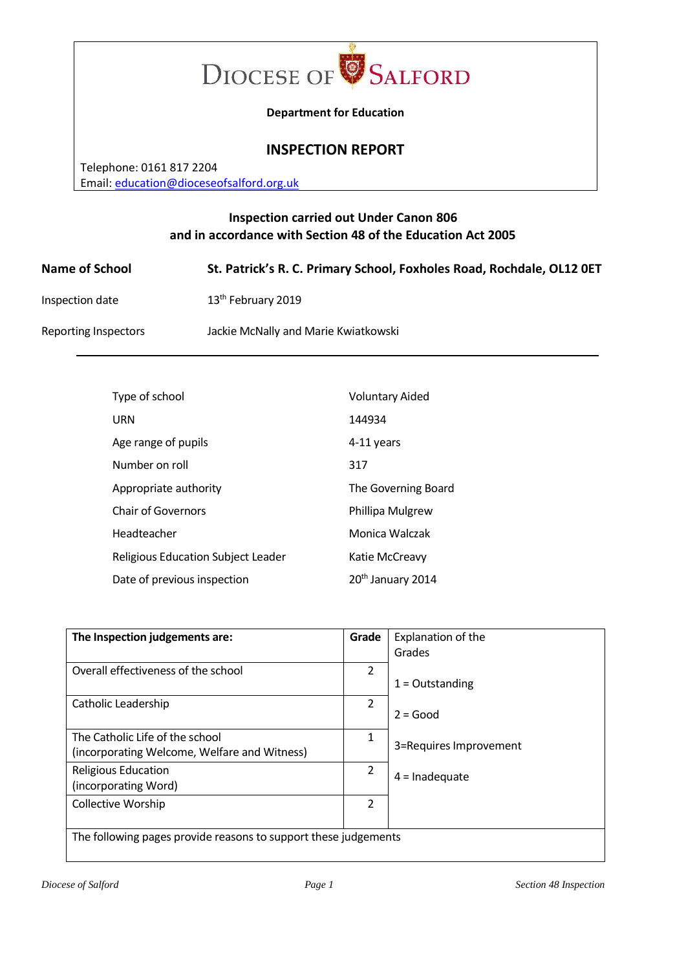

**Department for Education**

# **INSPECTION REPORT**

Telephone: 0161 817 2204 Email[: education@dioceseofsalford.org.uk](mailto:education@dioceseofsalford.org.uk)

# **Inspection carried out Under Canon 806 and in accordance with Section 48 of the Education Act 2005**

| <b>Name of School</b> | St. Patrick's R. C. Primary School, Foxholes Road, Rochdale, OL12 0ET |
|-----------------------|-----------------------------------------------------------------------|
| Inspection date       | 13 <sup>th</sup> February 2019                                        |
| Reporting Inspectors  | Jackie McNally and Marie Kwiatkowski                                  |

| Type of school                            | <b>Voluntary Aided</b>        |
|-------------------------------------------|-------------------------------|
| URN                                       | 144934                        |
| Age range of pupils                       | 4-11 years                    |
| Number on roll                            | 317                           |
| Appropriate authority                     | The Governing Board           |
| Chair of Governors                        | Phillipa Mulgrew              |
| Headteacher                               | Monica Walczak                |
| <b>Religious Education Subject Leader</b> | Katie McCreavy                |
| Date of previous inspection               | 20 <sup>th</sup> January 2014 |

| The Inspection judgements are:                                  | Grade          | Explanation of the     |  |
|-----------------------------------------------------------------|----------------|------------------------|--|
|                                                                 |                | Grades                 |  |
| Overall effectiveness of the school                             | $\overline{2}$ |                        |  |
|                                                                 |                | $1 =$ Outstanding      |  |
| Catholic Leadership                                             | 2              |                        |  |
|                                                                 |                | $2 = Good$             |  |
| The Catholic Life of the school                                 | 1              |                        |  |
| (incorporating Welcome, Welfare and Witness)                    |                | 3=Requires Improvement |  |
| Religious Education                                             | 2              | $4 =$ Inadequate       |  |
| (incorporating Word)                                            |                |                        |  |
| Collective Worship                                              | 2              |                        |  |
|                                                                 |                |                        |  |
| The following pages provide reasons to support these judgements |                |                        |  |
|                                                                 |                |                        |  |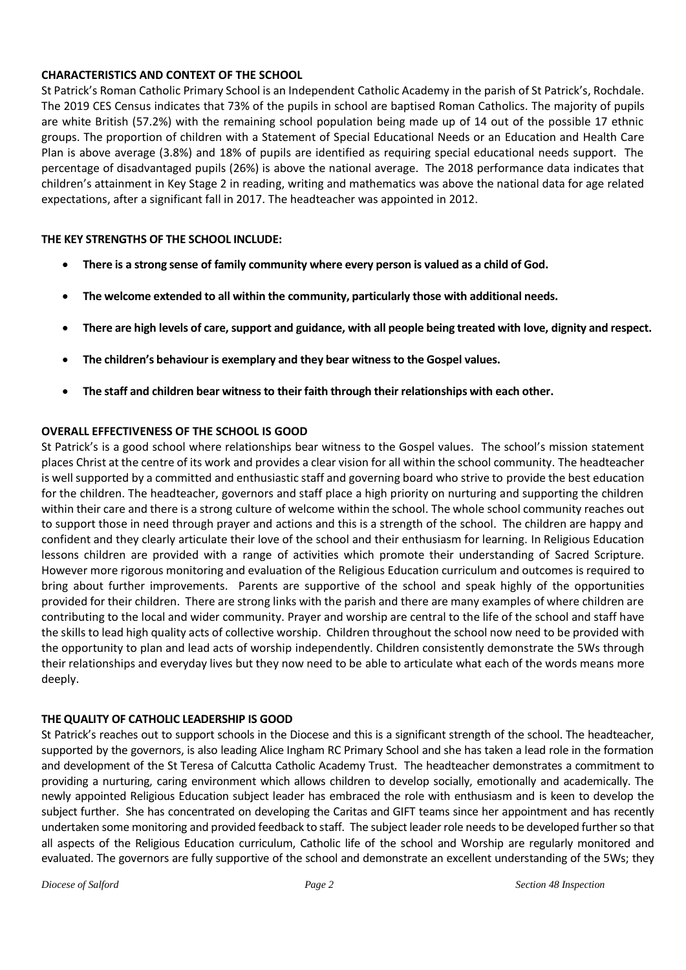## **CHARACTERISTICS AND CONTEXT OF THE SCHOOL**

St Patrick's Roman Catholic Primary School is an Independent Catholic Academy in the parish of St Patrick's, Rochdale. The 2019 CES Census indicates that 73% of the pupils in school are baptised Roman Catholics. The majority of pupils are white British (57.2%) with the remaining school population being made up of 14 out of the possible 17 ethnic groups. The proportion of children with a Statement of Special Educational Needs or an Education and Health Care Plan is above average (3.8%) and 18% of pupils are identified as requiring special educational needs support. The percentage of disadvantaged pupils (26%) is above the national average. The 2018 performance data indicates that children's attainment in Key Stage 2 in reading, writing and mathematics was above the national data for age related expectations, after a significant fall in 2017. The headteacher was appointed in 2012.

### **THE KEY STRENGTHS OF THE SCHOOL INCLUDE:**

- **There is a strong sense of family community where every person is valued as a child of God.**
- **The welcome extended to all within the community, particularly those with additional needs.**
- **There are high levels of care, support and guidance, with all people being treated with love, dignity and respect.**
- **The children's behaviour is exemplary and they bear witness to the Gospel values.**
- **The staff and children bear witness to their faith through their relationships with each other.**

## **OVERALL EFFECTIVENESS OF THE SCHOOL IS GOOD**

St Patrick's is a good school where relationships bear witness to the Gospel values. The school's mission statement places Christ at the centre of its work and provides a clear vision for all within the school community. The headteacher is well supported by a committed and enthusiastic staff and governing board who strive to provide the best education for the children. The headteacher, governors and staff place a high priority on nurturing and supporting the children within their care and there is a strong culture of welcome within the school. The whole school community reaches out to support those in need through prayer and actions and this is a strength of the school. The children are happy and confident and they clearly articulate their love of the school and their enthusiasm for learning. In Religious Education lessons children are provided with a range of activities which promote their understanding of Sacred Scripture. However more rigorous monitoring and evaluation of the Religious Education curriculum and outcomes is required to bring about further improvements. Parents are supportive of the school and speak highly of the opportunities provided for their children. There are strong links with the parish and there are many examples of where children are contributing to the local and wider community. Prayer and worship are central to the life of the school and staff have the skills to lead high quality acts of collective worship. Children throughout the school now need to be provided with the opportunity to plan and lead acts of worship independently. Children consistently demonstrate the 5Ws through their relationships and everyday lives but they now need to be able to articulate what each of the words means more deeply.

#### **THE QUALITY OF CATHOLIC LEADERSHIP IS GOOD**

St Patrick's reaches out to support schools in the Diocese and this is a significant strength of the school. The headteacher, supported by the governors, is also leading Alice Ingham RC Primary School and she has taken a lead role in the formation and development of the St Teresa of Calcutta Catholic Academy Trust. The headteacher demonstrates a commitment to providing a nurturing, caring environment which allows children to develop socially, emotionally and academically. The newly appointed Religious Education subject leader has embraced the role with enthusiasm and is keen to develop the subject further. She has concentrated on developing the Caritas and GIFT teams since her appointment and has recently undertaken some monitoring and provided feedback to staff. The subject leader role needs to be developed further so that all aspects of the Religious Education curriculum, Catholic life of the school and Worship are regularly monitored and evaluated. The governors are fully supportive of the school and demonstrate an excellent understanding of the 5Ws; they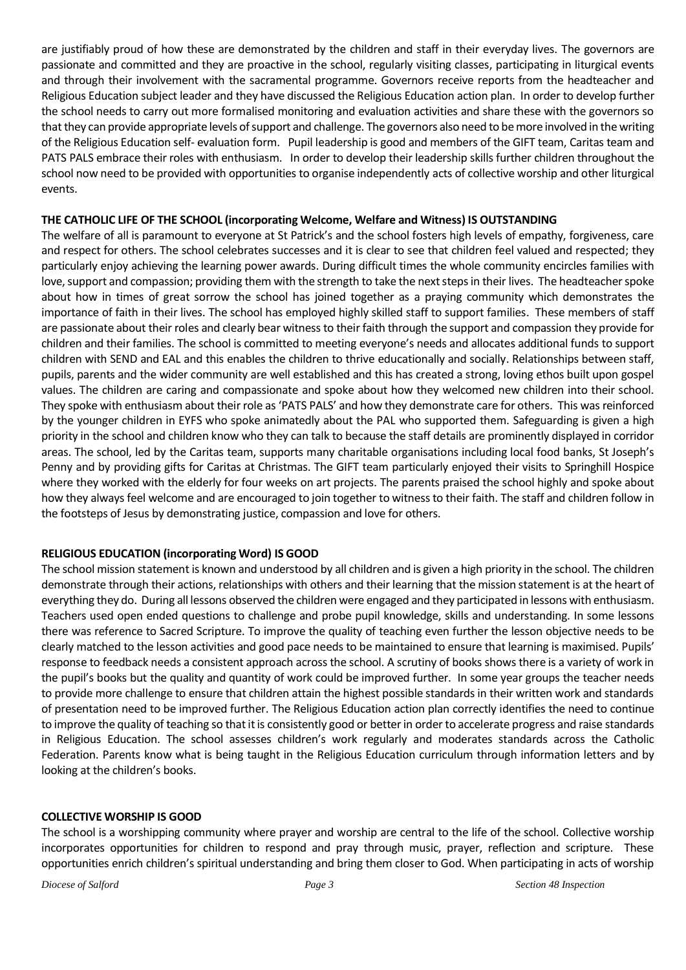are justifiably proud of how these are demonstrated by the children and staff in their everyday lives. The governors are passionate and committed and they are proactive in the school, regularly visiting classes, participating in liturgical events and through their involvement with the sacramental programme. Governors receive reports from the headteacher and Religious Education subject leader and they have discussed the Religious Education action plan. In order to develop further the school needs to carry out more formalised monitoring and evaluation activities and share these with the governors so that they can provide appropriate levels of support and challenge. The governors also need to be more involved in the writing of the Religious Education self- evaluation form. Pupil leadership is good and members of the GIFT team, Caritas team and PATS PALS embrace their roles with enthusiasm. In order to develop their leadership skills further children throughout the school now need to be provided with opportunities to organise independently acts of collective worship and other liturgical events.

### **THE CATHOLIC LIFE OF THE SCHOOL (incorporating Welcome, Welfare and Witness) IS OUTSTANDING**

The welfare of all is paramount to everyone at St Patrick's and the school fosters high levels of empathy, forgiveness, care and respect for others. The school celebrates successes and it is clear to see that children feel valued and respected; they particularly enjoy achieving the learning power awards. During difficult times the whole community encircles families with love, support and compassion; providing them with the strength to take the next steps in their lives. The headteacher spoke about how in times of great sorrow the school has joined together as a praying community which demonstrates the importance of faith in their lives. The school has employed highly skilled staff to support families. These members of staff are passionate about their roles and clearly bear witness to their faith through the support and compassion they provide for children and their families. The school is committed to meeting everyone's needs and allocates additional funds to support children with SEND and EAL and this enables the children to thrive educationally and socially. Relationships between staff, pupils, parents and the wider community are well established and this has created a strong, loving ethos built upon gospel values. The children are caring and compassionate and spoke about how they welcomed new children into their school. They spoke with enthusiasm about their role as 'PATS PALS' and how they demonstrate care for others. This was reinforced by the younger children in EYFS who spoke animatedly about the PAL who supported them. Safeguarding is given a high priority in the school and children know who they can talk to because the staff details are prominently displayed in corridor areas. The school, led by the Caritas team, supports many charitable organisations including local food banks, St Joseph's Penny and by providing gifts for Caritas at Christmas. The GIFT team particularly enjoyed their visits to Springhill Hospice where they worked with the elderly for four weeks on art projects. The parents praised the school highly and spoke about how they always feel welcome and are encouraged to join together to witness to their faith. The staff and children follow in the footsteps of Jesus by demonstrating justice, compassion and love for others.

# **RELIGIOUS EDUCATION (incorporating Word) IS GOOD**

The school mission statement is known and understood by all children and is given a high priority in the school. The children demonstrate through their actions, relationships with others and their learning that the mission statement is at the heart of everything they do. During all lessons observed the children were engaged and they participated in lessons with enthusiasm. Teachers used open ended questions to challenge and probe pupil knowledge, skills and understanding. In some lessons there was reference to Sacred Scripture. To improve the quality of teaching even further the lesson objective needs to be clearly matched to the lesson activities and good pace needs to be maintained to ensure that learning is maximised. Pupils' response to feedback needs a consistent approach across the school. A scrutiny of books shows there is a variety of work in the pupil's books but the quality and quantity of work could be improved further. In some year groups the teacher needs to provide more challenge to ensure that children attain the highest possible standards in their written work and standards of presentation need to be improved further. The Religious Education action plan correctly identifies the need to continue to improve the quality of teaching so that it is consistently good or better in order to accelerate progress and raise standards in Religious Education. The school assesses children's work regularly and moderates standards across the Catholic Federation. Parents know what is being taught in the Religious Education curriculum through information letters and by looking at the children's books.

# **COLLECTIVE WORSHIP IS GOOD**

The school is a worshipping community where prayer and worship are central to the life of the school. Collective worship incorporates opportunities for children to respond and pray through music, prayer, reflection and scripture. These opportunities enrich children's spiritual understanding and bring them closer to God. When participating in acts of worship